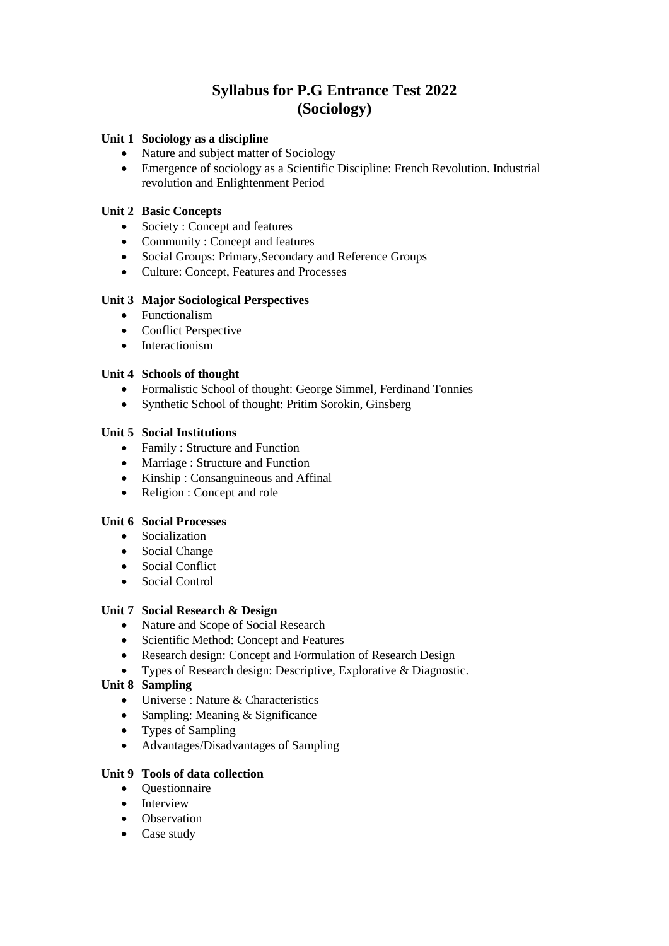# **Syllabus for P.G Entrance Test 2022 (Sociology)**

# **Unit 1 Sociology as a discipline**

- Nature and subject matter of Sociology
- Emergence of sociology as a Scientific Discipline: French Revolution. Industrial revolution and Enlightenment Period

# **Unit 2 Basic Concepts**

- Society : Concept and features
- Community : Concept and features
- Social Groups: Primary,Secondary and Reference Groups
- Culture: Concept, Features and Processes

# **Unit 3 Major Sociological Perspectives**

- Functionalism
- Conflict Perspective
- Interactionism

# **Unit 4 Schools of thought**

- Formalistic School of thought: George Simmel, Ferdinand Tonnies
- Synthetic School of thought: Pritim Sorokin, Ginsberg

# **Unit 5 Social Institutions**

- Family : Structure and Function
- Marriage : Structure and Function
- Kinship : Consanguineous and Affinal
- Religion : Concept and role

#### **Unit 6 Social Processes**

- Socialization
- Social Change
- Social Conflict
- Social Control

#### **Unit 7 Social Research & Design**

- Nature and Scope of Social Research
- Scientific Method: Concept and Features
- Research design: Concept and Formulation of Research Design
- Types of Research design: Descriptive, Explorative & Diagnostic.

# **Unit 8 Sampling**

- Universe : Nature & Characteristics
- Sampling: Meaning & Significance
- Types of Sampling
- Advantages/Disadvantages of Sampling

#### **Unit 9 Tools of data collection**

- Ouestionnaire
- Interview
- Observation
- Case study